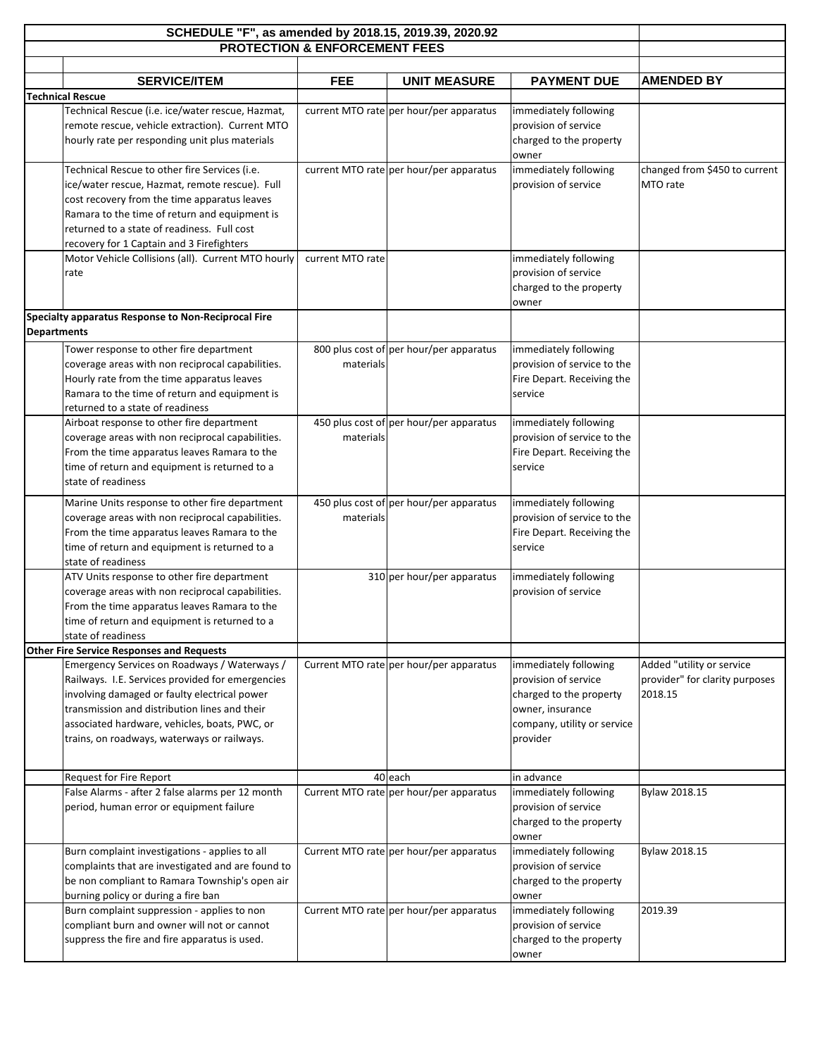| SCHEDULE "F", as amended by 2018.15, 2019.39, 2020.92 |                                                                                               |                                          |                                         |                             |                                |
|-------------------------------------------------------|-----------------------------------------------------------------------------------------------|------------------------------------------|-----------------------------------------|-----------------------------|--------------------------------|
|                                                       |                                                                                               | <b>PROTECTION &amp; ENFORCEMENT FEES</b> |                                         |                             |                                |
|                                                       |                                                                                               |                                          |                                         |                             |                                |
|                                                       | <b>SERVICE/ITEM</b>                                                                           | <b>FEE</b>                               | <b>UNIT MEASURE</b>                     | <b>PAYMENT DUE</b>          | <b>AMENDED BY</b>              |
|                                                       | <b>Technical Rescue</b>                                                                       |                                          |                                         |                             |                                |
|                                                       | Technical Rescue (i.e. ice/water rescue, Hazmat,                                              |                                          | current MTO rate per hour/per apparatus | immediately following       |                                |
|                                                       | remote rescue, vehicle extraction). Current MTO                                               |                                          |                                         | provision of service        |                                |
|                                                       | hourly rate per responding unit plus materials                                                |                                          |                                         | charged to the property     |                                |
|                                                       |                                                                                               |                                          |                                         | owner                       |                                |
|                                                       | Technical Rescue to other fire Services (i.e.                                                 |                                          | current MTO rate per hour/per apparatus | immediately following       | changed from \$450 to current  |
|                                                       | ice/water rescue, Hazmat, remote rescue). Full                                                |                                          |                                         | provision of service        | MTO rate                       |
|                                                       | cost recovery from the time apparatus leaves<br>Ramara to the time of return and equipment is |                                          |                                         |                             |                                |
|                                                       | returned to a state of readiness. Full cost                                                   |                                          |                                         |                             |                                |
|                                                       | recovery for 1 Captain and 3 Firefighters                                                     |                                          |                                         |                             |                                |
|                                                       | Motor Vehicle Collisions (all). Current MTO hourly                                            | current MTO rate                         |                                         | immediately following       |                                |
|                                                       | rate                                                                                          |                                          |                                         | provision of service        |                                |
|                                                       |                                                                                               |                                          |                                         | charged to the property     |                                |
|                                                       |                                                                                               |                                          |                                         | owner                       |                                |
|                                                       | Specialty apparatus Response to Non-Reciprocal Fire                                           |                                          |                                         |                             |                                |
| <b>Departments</b>                                    |                                                                                               |                                          |                                         |                             |                                |
|                                                       | Tower response to other fire department                                                       |                                          | 800 plus cost of per hour/per apparatus | immediately following       |                                |
|                                                       | coverage areas with non reciprocal capabilities.                                              | materials                                |                                         | provision of service to the |                                |
|                                                       | Hourly rate from the time apparatus leaves                                                    |                                          |                                         | Fire Depart. Receiving the  |                                |
|                                                       | Ramara to the time of return and equipment is                                                 |                                          |                                         | service                     |                                |
|                                                       | returned to a state of readiness                                                              |                                          |                                         |                             |                                |
|                                                       | Airboat response to other fire department                                                     |                                          | 450 plus cost of per hour/per apparatus | immediately following       |                                |
|                                                       | coverage areas with non reciprocal capabilities.                                              | materials                                |                                         | provision of service to the |                                |
|                                                       | From the time apparatus leaves Ramara to the                                                  |                                          |                                         | Fire Depart. Receiving the  |                                |
|                                                       | time of return and equipment is returned to a                                                 |                                          |                                         | service                     |                                |
|                                                       | state of readiness                                                                            |                                          |                                         |                             |                                |
|                                                       | Marine Units response to other fire department                                                |                                          | 450 plus cost of per hour/per apparatus | immediately following       |                                |
|                                                       | coverage areas with non reciprocal capabilities.                                              | materials                                |                                         | provision of service to the |                                |
|                                                       | From the time apparatus leaves Ramara to the                                                  |                                          |                                         | Fire Depart. Receiving the  |                                |
|                                                       | time of return and equipment is returned to a                                                 |                                          |                                         | service                     |                                |
|                                                       | state of readiness                                                                            |                                          |                                         |                             |                                |
|                                                       | ATV Units response to other fire department                                                   |                                          | 310 per hour/per apparatus              | immediately following       |                                |
|                                                       | coverage areas with non reciprocal capabilities.                                              |                                          |                                         | provision of service        |                                |
|                                                       | From the time apparatus leaves Ramara to the                                                  |                                          |                                         |                             |                                |
|                                                       | time of return and equipment is returned to a<br>state of readiness                           |                                          |                                         |                             |                                |
|                                                       | <b>Other Fire Service Responses and Requests</b>                                              |                                          |                                         |                             |                                |
|                                                       | Emergency Services on Roadways / Waterways /                                                  |                                          | Current MTO rate per hour/per apparatus | immediately following       | Added "utility or service      |
|                                                       | Railways. I.E. Services provided for emergencies                                              |                                          |                                         | provision of service        | provider" for clarity purposes |
|                                                       | involving damaged or faulty electrical power                                                  |                                          |                                         | charged to the property     | 2018.15                        |
|                                                       | transmission and distribution lines and their                                                 |                                          |                                         | owner, insurance            |                                |
|                                                       | associated hardware, vehicles, boats, PWC, or                                                 |                                          |                                         | company, utility or service |                                |
|                                                       | trains, on roadways, waterways or railways.                                                   |                                          |                                         | provider                    |                                |
|                                                       |                                                                                               |                                          |                                         |                             |                                |
|                                                       | Request for Fire Report                                                                       |                                          | 40 each                                 | in advance                  |                                |
|                                                       | False Alarms - after 2 false alarms per 12 month                                              |                                          | Current MTO rate per hour/per apparatus | immediately following       | Bylaw 2018.15                  |
|                                                       | period, human error or equipment failure                                                      |                                          |                                         | provision of service        |                                |
|                                                       |                                                                                               |                                          |                                         | charged to the property     |                                |
|                                                       |                                                                                               |                                          |                                         | owner                       |                                |
|                                                       | Burn complaint investigations - applies to all                                                |                                          | Current MTO rate per hour/per apparatus | immediately following       | Bylaw 2018.15                  |
|                                                       | complaints that are investigated and are found to                                             |                                          |                                         | provision of service        |                                |
|                                                       | be non compliant to Ramara Township's open air                                                |                                          |                                         | charged to the property     |                                |
|                                                       | burning policy or during a fire ban                                                           |                                          |                                         | owner                       |                                |
|                                                       | Burn complaint suppression - applies to non                                                   |                                          | Current MTO rate per hour/per apparatus | immediately following       | 2019.39                        |
|                                                       | compliant burn and owner will not or cannot                                                   |                                          |                                         | provision of service        |                                |
|                                                       | suppress the fire and fire apparatus is used.                                                 |                                          |                                         | charged to the property     |                                |
|                                                       |                                                                                               |                                          |                                         | owner                       |                                |